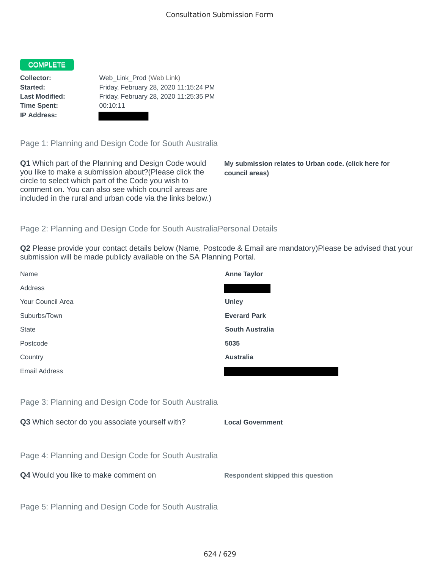## COMPLETE

**Time Spent:** 00:10:11 **IP Address:**

**Collector:** Web\_Link\_Prod (Web Link) **Started:** Friday, February 28, 2020 11:15:24 PM **Last Modified:** Friday, February 28, 2020 11:25:35 PM

Page 1: Planning and Design Code for South Australia

**Q1** Which part of the Planning and Design Code would you like to make a submission about?(Please click the circle to select which part of the Code you wish to comment on. You can also see which council areas are included in the rural and urban code via the links below.)

**My submission relates to Urban code. (click here for council areas)**

## Page 2: Planning and Design Code for South AustraliaPersonal Details

**Q2** Please provide your contact details below (Name, Postcode & Email are mandatory)Please be advised that your submission will be made publicly available on the SA Planning Portal.

| Name                                                 | <b>Anne Taylor</b>                      |
|------------------------------------------------------|-----------------------------------------|
| Address                                              |                                         |
| Your Council Area                                    | <b>Unley</b>                            |
| Suburbs/Town                                         | <b>Everard Park</b>                     |
| <b>State</b>                                         | <b>South Australia</b>                  |
| Postcode                                             | 5035                                    |
| Country                                              | <b>Australia</b>                        |
| Email Address                                        |                                         |
|                                                      |                                         |
| Page 3: Planning and Design Code for South Australia |                                         |
| Q3 Which sector do you associate yourself with?      | <b>Local Government</b>                 |
|                                                      |                                         |
| Page 4: Planning and Design Code for South Australia |                                         |
| Q4 Would you like to make comment on                 | <b>Respondent skipped this question</b> |
|                                                      |                                         |
| Page 5: Planning and Design Code for South Australia |                                         |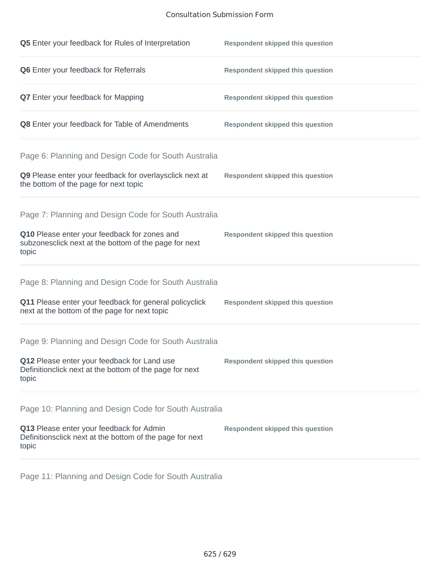## Consultation Submission Form

| Q5 Enter your feedback for Rules of Interpretation                                                              | <b>Respondent skipped this question</b> |
|-----------------------------------------------------------------------------------------------------------------|-----------------------------------------|
| Q6 Enter your feedback for Referrals                                                                            | <b>Respondent skipped this question</b> |
| <b>Q7</b> Enter your feedback for Mapping                                                                       | <b>Respondent skipped this question</b> |
| Q8 Enter your feedback for Table of Amendments                                                                  | <b>Respondent skipped this question</b> |
| Page 6: Planning and Design Code for South Australia                                                            |                                         |
| Q9 Please enter your feedback for overlaysclick next at<br>the bottom of the page for next topic                | <b>Respondent skipped this question</b> |
| Page 7: Planning and Design Code for South Australia                                                            |                                         |
| Q10 Please enter your feedback for zones and<br>subzonesclick next at the bottom of the page for next<br>topic  | <b>Respondent skipped this question</b> |
| Page 8: Planning and Design Code for South Australia                                                            |                                         |
| Q11 Please enter your feedback for general policyclick<br>next at the bottom of the page for next topic         | <b>Respondent skipped this question</b> |
| Page 9: Planning and Design Code for South Australia                                                            |                                         |
| Q12 Please enter your feedback for Land use<br>Definitionclick next at the bottom of the page for next<br>topic | <b>Respondent skipped this question</b> |
| Page 10: Planning and Design Code for South Australia                                                           |                                         |
| Q13 Please enter your feedback for Admin<br>Definitionsclick next at the bottom of the page for next<br>topic   | <b>Respondent skipped this question</b> |

Page 11: Planning and Design Code for South Australia